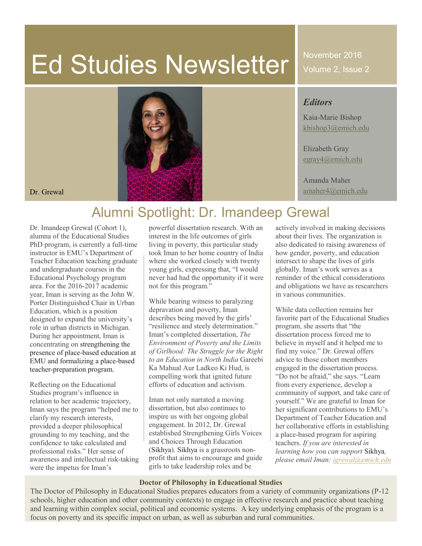# Ed Studies Newsletter

November 2016 Volume 2, Issue 2

### *Editors*

Kaia-Marie Bishop [kbishop3@emich.edu](mailto:kbishop3@emich.edu)

Elizabeth Gray [egray4@emich.edu](mailto:egray4@emich.edu)

Amanda Maher

## Alumni Spotlight: Dr. Imandeep Grewal

Dr. Imandeep Grewal (Cohort 1), alumna of the Educational Studies PhD program, is currently a full-time instructor in EMU's Department of Teacher Education teaching graduate and undergraduate courses in the Educational Psychology program area. For the 2016-2017 academic year, Iman is serving as the John W. Porter Distinguished Chair in Urban Education, which is a position designed to expand the university's role in urban districts in Michigan. During her appointment, Iman is concentrating on strengthening the presence of place-based education at EMU and formalizing a place-based teacher-preparation program.

Reflecting on the Educational Studies program's influence in relation to her academic trajectory, Iman says the program "helped me to clarify my research interests, provided a deeper philosophical grounding to my teaching, and the confidence to take calculated and professional risks." Her sense of awareness and intellectual risk-taking were the impetus for Iman's

powerful dissertation research. With an interest in the life outcomes of girls living in poverty, this particular study took Iman to her home country of India where she worked closely with twenty young girls, expressing that, "I would never had had the opportunity if it were not for this program."

While bearing witness to paralyzing depravation and poverty, Iman describes being moved by the girls' "resilience and steely determination." Iman's completed dissertation, *The Environment of Poverty and the Limits of Girlhood: The Struggle for the Right to an Education in North India* Gareebi Ka Mahual Aur Ladkeo Ki Hud, is compelling work that ignited future efforts of education and activism.

Iman not only narrated a moving dissertation, but also continues to inspire us with her ongoing global engagement. In 2012, Dr. Grewal established Strengthening Girls Voices and Choices Through Education (Sikhya). Sikhya is a grassroots nonprofit that aims to encourage and guide girls to take leadership roles and be

actively involved in making decisions about their lives. The organization is also dedicated to raising awareness of how gender, poverty, and education intersect to shape the lives of girls globally. Iman's work serves as a reminder of the ethical considerations and obligations we have as researchers in various communities.

While data collection remains her favorite part of the Educational Studies program, she asserts that "the dissertation process forced me to believe in myself and it helped me to find my voice." Dr. Grewal offers advice to those cohort members engaged in the dissertation process. "Do not be afraid," she says. "Learn from every experience, develop a community of support, and take care of yourself." We are grateful to Iman for her significant contributions to EMU's Department of Teacher Education and her collaborative efforts in establishing a place-based program for aspiring teachers. *If you are interested in learning how you can support* Sikhya*, please email Iman: [igrewal@emich.edu](mailto:igrewal@emich.edu)*

### **Doctor of Philosophy in Educational Studies**

The Doctor of Philosophy in Educational Studies prepares educators from a variety of community organizations (P-12 schools, higher education and other community contexts) to engage in effective research and practice about teaching and learning within complex social, political and economic systems. A key underlying emphasis of the program is a focus on poverty and its specific impact on urban, as well as suburban and rural communities.

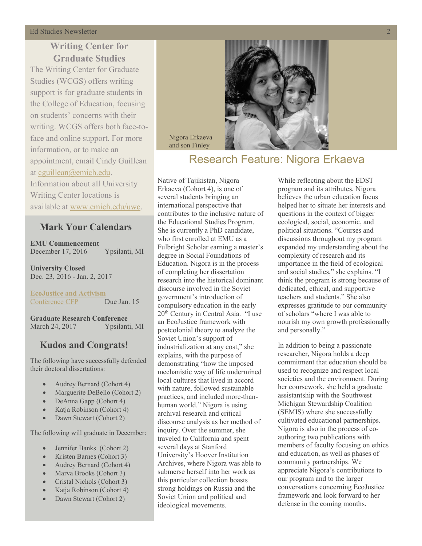#### **Ed Studies Newsletter**

### **Writing Center for Graduate Studies**

The Writing Center for Graduate Studies (WCGS) offers writing support is for graduate students in the College of Education, focusing on students' concerns with their writing. WCGS offers both face-toface and online support. For more information, or to make an appointment, email Cindy Guillean at [cguillean@emich.edu.](mailto:cguillean@emich.edu) Information about all University Writing Center locations is available at [www.emich.edu/uwc.](http://www.emich.edu/uwc)

### **Mark Your Calendars**

**EMU Commencement** December 17, 2016 Ypsilanti, MI

**University Closed** Dec. 23, 2016 - Jan. 2, 2017

**[EcoJustice and Activism](ecojusticeconference.weebly.com)** [Conference CFP](ecojusticeconference.weebly.com/call-for-proposals.html) Due Jan. 15

**Graduate Research Conference** March 24, 2017 Ypsilanti, MI

### **Kudos and Congrats!**

The following have successfully defended their doctoral dissertations:

- Audrey Bernard (Cohort 4)
- Marguerite DeBello (Cohort 2)
- DeAnna Gapp (Cohort 4)
- x Katja Robinson (Cohort 4)
- Dawn Stewart (Cohort 2)

The following will graduate in December:

- $\bullet$  Jennifer Banks (Cohort 2)
- x Kristen Barnes (Cohort 3)
- Audrey Bernard (Cohort 4)
- $\bullet$  Marva Brooks (Cohort 3)
- Cristal Nichols (Cohort 3)
- x Katja Robinson (Cohort 4)
- Dawn Stewart (Cohort 2)



### Research Feature: Nigora Erkaeva

Native of Tajikistan, Nigora Erkaeva (Cohort 4), is one of several students bringing an international perspective that contributes to the inclusive nature of the Educational Studies Program. She is currently a PhD candidate, who first enrolled at EMU as a Fulbright Scholar earning a master's degree in Social Foundations of Education. Nigora is in the process of completing her dissertation research into the historical dominant discourse involved in the Soviet government's introduction of compulsory education in the early 20th Century in Central Asia. "I use an EcoJustice framework with postcolonial theory to analyze the Soviet Union's support of industrialization at any cost," she explains, with the purpose of demonstrating "how the imposed mechanistic way of life undermined local cultures that lived in accord with nature, followed sustainable practices, and included more-thanhuman world." Nigora is using archival research and critical discourse analysis as her method of inquiry. Over the summer, she traveled to California and spent several days at Stanford University's Hoover Institution Archives, where Nigora was able to submerse herself into her work as this particular collection boasts strong holdings on Russia and the Soviet Union and political and ideological movements.

Nigora Erkaeva and son Finley

> While reflecting about the EDST program and its attributes, Nigora believes the urban education focus helped her to situate her interests and questions in the context of bigger ecological, social, economic, and political situations. "Courses and discussions throughout my program expanded my understanding about the complexity of research and its importance in the field of ecological and social studies," she explains. "I think the program is strong because of dedicated, ethical, and supportive teachers and students." She also expresses gratitude to our community of scholars "where I was able to nourish my own growth professionally and personally."

In addition to being a passionate researcher, Nigora holds a deep commitment that education should be used to recognize and respect local societies and the environment. During her coursework, she held a graduate assistantship with the Southwest Michigan Stewardship Coalition (SEMIS) where she successfully cultivated educational partnerships. Nigora is also in the process of coauthoring two publications with members of faculty focusing on ethics and education, as well as phases of community partnerships. We appreciate Nigora's contributions to our program and to the larger conversations concerning EcoJustice framework and look forward to her defense in the coming months.